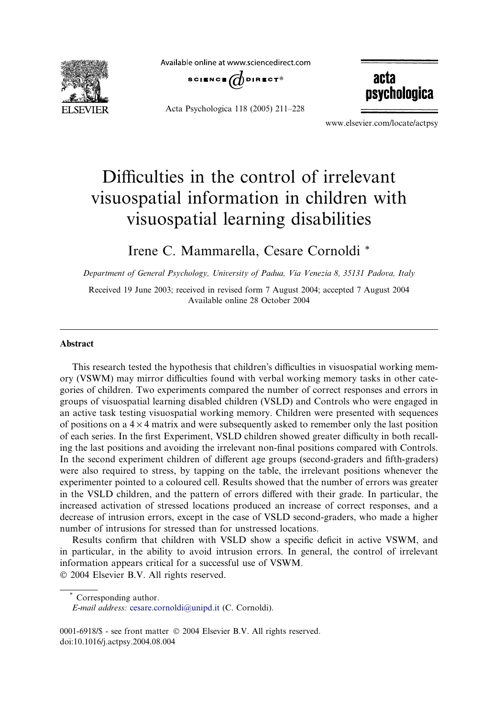

Available online at www.sciencedirect.com



Acta Psychologica 118 (2005) 211–228

acta psychologica

www.elsevier.com/locate/actpsy

# Difficulties in the control of irrelevant visuospatial information in children with visuospatial learning disabilities

### Irene C. Mammarella, Cesare Cornoldi \*

Department of General Psychology, University of Padua, Via Venezia 8, 35131 Padova, Italy

Received 19 June 2003; received in revised form 7 August 2004; accepted 7 August 2004 Available online 28 October 2004

#### Abstract

This research tested the hypothesis that children's difficulties in visuospatial working memory (VSWM) may mirror difficulties found with verbal working memory tasks in other categories of children. Two experiments compared the number of correct responses and errors in groups of visuospatial learning disabled children (VSLD) and Controls who were engaged in an active task testing visuospatial working memory. Children were presented with sequences of positions on a  $4 \times 4$  matrix and were subsequently asked to remember only the last position of each series. In the first Experiment, VSLD children showed greater difficulty in both recalling the last positions and avoiding the irrelevant non-final positions compared with Controls. In the second experiment children of different age groups (second-graders and fifth-graders) were also required to stress, by tapping on the table, the irrelevant positions whenever the experimenter pointed to a coloured cell. Results showed that the number of errors was greater in the VSLD children, and the pattern of errors differed with their grade. In particular, the increased activation of stressed locations produced an increase of correct responses, and a decrease of intrusion errors, except in the case of VSLD second-graders, who made a higher number of intrusions for stressed than for unstressed locations.

Results confirm that children with VSLD show a specific deficit in active VSWM, and in particular, in the ability to avoid intrusion errors. In general, the control of irrelevant information appears critical for a successful use of VSWM. 2004 Elsevier B.V. All rights reserved.

Corresponding author.

E-mail address: [cesare.cornoldi@unipd.it](mailto:cesare.cornoldi@unipd.it ) (C. Cornoldi).

<sup>0001-6918/\$ -</sup> see front matter © 2004 Elsevier B.V. All rights reserved. doi:10.1016/j.actpsy.2004.08.004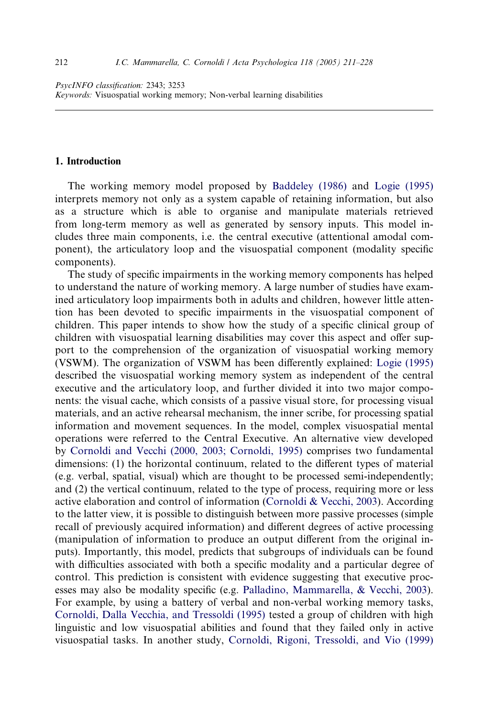#### 1. Introduction

The working memory model proposed by [Baddeley \(1986\)](#page--1-0) and [Logie \(1995\)](#page--1-0) interprets memory not only as a system capable of retaining information, but also as a structure which is able to organise and manipulate materials retrieved from long-term memory as well as generated by sensory inputs. This model includes three main components, i.e. the central executive (attentional amodal component), the articulatory loop and the visuospatial component (modality specific components).

The study of specific impairments in the working memory components has helped to understand the nature of working memory. A large number of studies have examined articulatory loop impairments both in adults and children, however little attention has been devoted to specific impairments in the visuospatial component of children. This paper intends to show how the study of a specific clinical group of children with visuospatial learning disabilities may cover this aspect and offer support to the comprehension of the organization of visuospatial working memory (VSWM). The organization of VSWM has been differently explained: [Logie \(1995\)](#page--1-0) described the visuospatial working memory system as independent of the central executive and the articulatory loop, and further divided it into two major components: the visual cache, which consists of a passive visual store, for processing visual materials, and an active rehearsal mechanism, the inner scribe, for processing spatial information and movement sequences. In the model, complex visuospatial mental operations were referred to the Central Executive. An alternative view developed by [Cornoldi and Vecchi \(2000, 2003; Cornoldi, 1995\)](#page--1-0) comprises two fundamental dimensions: (1) the horizontal continuum, related to the different types of material (e.g. verbal, spatial, visual) which are thought to be processed semi-independently; and (2) the vertical continuum, related to the type of process, requiring more or less active elaboration and control of information [\(Cornoldi & Vecchi, 2003\)](#page--1-0). According to the latter view, it is possible to distinguish between more passive processes (simple recall of previously acquired information) and different degrees of active processing (manipulation of information to produce an output different from the original inputs). Importantly, this model, predicts that subgroups of individuals can be found with difficulties associated with both a specific modality and a particular degree of control. This prediction is consistent with evidence suggesting that executive processes may also be modality specific (e.g. [Palladino, Mammarella, & Vecchi, 2003\)](#page--1-0). For example, by using a battery of verbal and non-verbal working memory tasks, [Cornoldi, Dalla Vecchia, and Tressoldi \(1995\)](#page--1-0) tested a group of children with high linguistic and low visuospatial abilities and found that they failed only in active visuospatial tasks. In another study, [Cornoldi, Rigoni, Tressoldi, and Vio \(1999\)](#page--1-0)